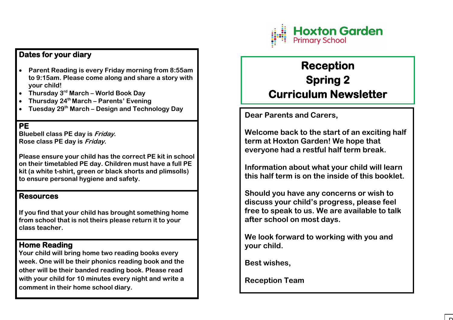

# **Dates for your diary**

- **Parent Reading is every Friday morning from 8:55am to 9:15am. Please come along and share a story with your child!**
- **Thursday 3rd March – World Book Day**
- **Thursday 24th March – Parents' Evening**
- **Tuesday 29th March – Design and Technology Day**

### **PE**

**Bluebell class PE day is Friday. Rose class PE day is Friday.** 

**Please ensure your child has the correct PE kit in school on their timetabled PE day. Children must have a full PE kit (a white t-shirt, green or black shorts and plimsolls) to ensure personal hygiene and safety.** 

#### **Resources**

**If you find that your child has brought something home from school that is not theirs please return it to your class teacher.** 

## **Home Reading**

**Your child will bring home two reading books every week. One will be their phonics reading book and the other will be their banded reading book. Please read with your child for 10 minutes every night and write a comment in their home school diary.** 

# **Reception Spring 2 Curriculum Newsletter**

**Dear Parents and Carers,** 

**Welcome back to the start of an exciting half term at Hoxton Garden! We hope that everyone had a restful half term break.** 

**Information about what your child will learn this half term is on the inside of this booklet.** 

**Should you have any concerns or wish to discuss your child's progress, please feel free to speak to us. We are available to talk after school on most days.** 

**We look forward to working with you and your child.** 

**Best wishes,** 

**Reception Team**